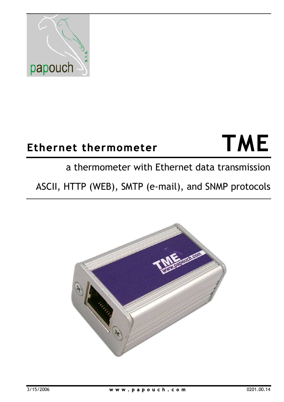

# **Ethernet thermometer TME**

a thermometer with Ethernet data transmission

ASCII, HTTP (WEB), SMTP (e-mail), and SNMP protocols

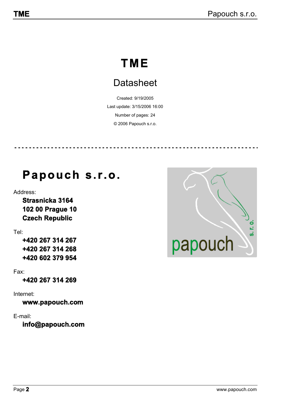# **TME**

# **Datasheet**

Created: 9/19/2005 Last update: 3/15/2006 16:00 Number of pages: 24 © 2006 Papouch s.r.o.

# **Papouch s.r.o.**

Address:

**Strasnicka 3164 102 00 Prague 10 Czech Republic**

Tel:

**+420 267 314 267 +420 267 314 268 +420 602 379 954**

#### Fax:

**+420 267 314 269**

Internet:

**www.papouch.com**

E-mail:

**inf[o@papouch.com](mailto:papouch@papouch.com)**

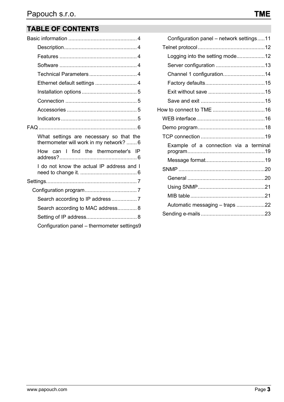# **TABLE OF CONTENTS**

| Ethernet default settings  4                                                       |
|------------------------------------------------------------------------------------|
|                                                                                    |
|                                                                                    |
|                                                                                    |
|                                                                                    |
|                                                                                    |
| What settings are necessary so that the<br>thermometer will work in my network?  6 |
| How can I find the thermometer's IP                                                |
| I do not know the actual IP address and I                                          |
|                                                                                    |
|                                                                                    |
|                                                                                    |
| Search according to MAC address 8                                                  |
|                                                                                    |
| Configuration panel - thermometer settings9                                        |

| Configuration panel - network settings11 |  |
|------------------------------------------|--|
|                                          |  |
| Logging into the setting mode12          |  |
|                                          |  |
| Channel 1 configuration14                |  |
|                                          |  |
|                                          |  |
|                                          |  |
|                                          |  |
|                                          |  |
|                                          |  |
|                                          |  |
| Example of a connection via a terminal   |  |
|                                          |  |
|                                          |  |
|                                          |  |
|                                          |  |
|                                          |  |
| Automatic messaging - traps 22           |  |
|                                          |  |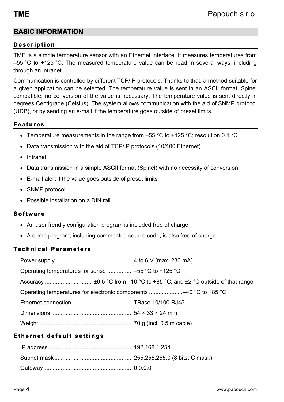# <span id="page-3-1"></span><span id="page-3-0"></span>**BASIC INFORMATION**

# **D e s c r i p t i o n**

TME is a simple temperature sensor with an Ethernet interface. It measures temperatures from  $-55$  °C to +125 °C. The measured temperature value can be read in several ways, including through an intranet.

Communication is controlled by different TCP/IP protocols. Thanks to that, a method suitable for a given application can be selected. The temperature value is sent in an ASCII format, Spinel compatible; no conversion of the value is necessary. The temperature value is sent directly in degrees Centigrade (Celsius). The system allows communication with the aid of SNMP protocol (UDP), or by sending an e-mail if the temperature goes outside of preset limits.

# <span id="page-3-2"></span>**F e a t u r e s**

- Temperature measurements in the range from -55 °C to +125 °C; resolution 0.1 °C
- Data transmission with the aid of TCP/IP protocols (10/100 Ethernet)
- Intranet
- Data transmission in a simple ASCII format (Spinel) with no necessity of conversion
- E-mail alert if the value goes outside of preset limits
- SNMP protocol
- <span id="page-3-3"></span>Possible installation on a DIN rail

# **S o f t w a r e**

- An user frendly configuration program is included free of charge
- <span id="page-3-4"></span>• A demo program, including commented source code, is also free of charge

# **Technical Parameters**

# <span id="page-3-5"></span>**Ethernet default settings**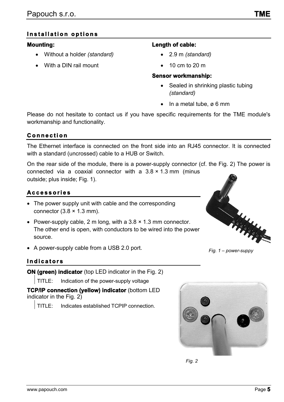# <span id="page-4-0"></span>**Installation options**

# **Mounting:**

- Without a holder *(standard)*
- With a DIN rail mount

# **Length of cable:**

- 2.9 m *(standard)*
- 10 cm to 20 m

# **Sensor workmanship:**

- Sealed in shrinking plastic tubing *(standard)*
- $\bullet$  In a metal tube,  $\emptyset$  6 mm

<span id="page-4-1"></span>Please do not hesitate to contact us if you have specific requirements for the TME module's workmanship and functionality.

# **C o n n e c t i o n**

The Ethernet interface is connected on the front side into an RJ45 connector. It is connected with a standard (uncrossed) cable to a HUB or Switch.

<span id="page-4-2"></span>On the rear side of the module, there is a power-supply connector (cf. the Fig. 2) The power is connected via a coaxial connector with a  $3.8 \times 1.3$  mm (minus outside; plus inside; Fig. 1).

# **A c c e s s o r i e s**

- The power supply unit with cable and the corresponding connector  $(3.8 \times 1.3 \text{ mm})$ .
- Power-supply cable, 2 m long, with a  $3.8 \times 1.3$  mm connector. The other end is open, with conductors to be wired into the power source.
- <span id="page-4-3"></span>• A power-supply cable from a USB 2.0 port.



**ON (green) indicator** (top LED indicator in the Fig. 2)

TITLE: Indication of the power-supply voltage

**TCP/IP connection (yellow) indicator** (bottom LED indicator in the Fig. 2)

<span id="page-4-4"></span>TITLE: Indicates established TCPIP connection.



*Fig. 1 – power-suppy*

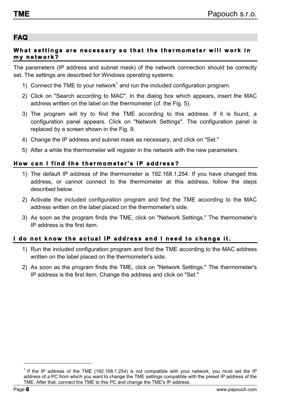# <span id="page-5-0"></span>**FAQ**

# What settings are necessary so that the thermometer will work in **m y n e t w o r k ?**

The parameters (IP address and subnet mask) of the network connection should be correctly set. The settings are described for Windows operating systems.

- 1) Connect the TME to your network<sup>1</sup> and run the included configuration program.
- 2) Click on "Search according to MAC". In the dialog box which appears, insert the MAC address written on the label on the thermometer (cf. the Fig. 5).
- 3) The program will try to find the TME according to this address. If it is found, a configuration panel appears. Click on "Network Settings". The configuration panel is replaced by a screen shown in the Fig. 9.
- 4) Change the IP address and subnet mask as necessary, and click on "Set."
- 5) After a while the thermometer will register in the network with the new parameters.

# <span id="page-5-1"></span>How can I find the thermometer's IP address?

- 1) The default IP address of the thermometer is 192.168.1.254. If you have changed this address, or cannot connect to the thermometer at this address, follow the steps described below.
- 2) Activate the included configuration program and find the TME according to the MAC address written on the label placed on the thermometer's side.
- 3) As soon as the program finds the TME, click on "Network Settings." The thermometer's IP address is the first item.

# <span id="page-5-2"></span>I do not know the actual IP address and I need to change it.

- 1) Run the included configuration program and find the TME according to the MAC address written on the label placed on the thermometer's side.
- 2) As soon as the program finds the TME, click on "Network Settings." The thermometer's IP address is the first item. Change the address and click on "Set."

<span id="page-5-3"></span> $\overline{a}$ 

 $1$  If the IP address of the TME (192.168.1.254) is not compatible with your network, you must set the IP address of a PC from which you want to change the TME settings compatible with the preset IP address of the TME. After that, connect the TME to this PC and change the TME's IP address.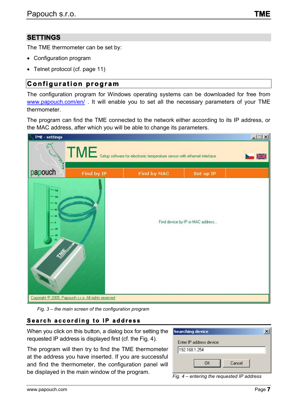# **SETTINGS**

The TME thermometer can be set by:

- <span id="page-6-0"></span>Configuration program
- Telnet protocol (cf. page 11)

# **C o n fi g ur at i o n pr o gr am**

The configuration program for Windows operating systems can be downloaded for free from [www.papouch.com/en/](http://www.papouch.com/en/) . It will enable you to set all the necessary parameters of your TME thermometer.

The program can find the TME connected to the network either according to its IP address, or the MAC address, after which you will be able to change its parameters.



*Fig. 3 – the main screen of the configuration program*

# <span id="page-6-2"></span><span id="page-6-1"></span>**Search according to IP address**

When you click on this button, a dialog box for setting the requested IP address is displayed first (cf. the Fig. 4).

The program will then try to find the TME thermometer at the address you have inserted. If you are successful and find the thermometer, the configuration panel will be displayed in the main window of the program.

*Fig. 4 – entering the requested IP address*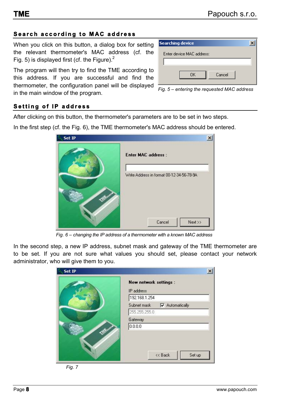# **Search according to MAC address**

When you click on this button, a dialog box for setting the relevant thermometer's MAC address (cf. the Fig. 5) is displayed first (cf. the Figure). $<sup>2</sup>$ </sup>

<span id="page-7-1"></span>The program will then try to find the TME according to this address. If you are successful and find the thermometer, the configuration panel will be displayed in the main window of the program.

| <b>Searching device</b>   |        |  |
|---------------------------|--------|--|
| Enter device MAC address: |        |  |
|                           |        |  |
| OΚ                        | Cancel |  |

*Fig. 5 – entering the requested MAC address*

# <span id="page-7-0"></span>**Setting of IP address**

After clicking on this button, the thermometer's parameters are to be set in two steps.

In the first step (cf. the Fig. 6), the TME thermometer's MAC address should be entered.

| Set IP |                                           | $\overline{\mathbf{x}}$ |
|--------|-------------------------------------------|-------------------------|
|        | Enter MAC address :                       |                         |
|        | Write Address in format 00-12-34-56-78-9A |                         |
|        |                                           |                         |
|        |                                           |                         |
|        |                                           |                         |
|        | Cancel<br>Next >>                         |                         |

*Fig. 6 – changing the IP address of a thermometer with a known MAC address*

In the second step, a new IP address, subnet mask and gateway of the TME thermometer are to be set. If you are not sure what values you should set, please contact your network administrator, who will give them to you.



*Fig. 7*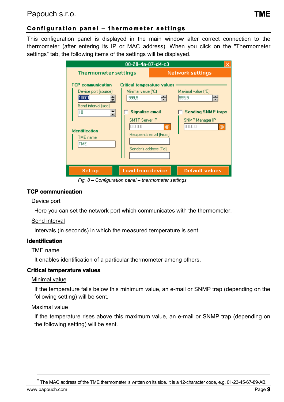# **Configuration panel - thermometer settings**

This configuration panel is displayed in the main window after correct connection to the thermometer (after entering its IP or MAC address). When you click on the "Thermometer settings" tab, the following items of the settings will be displayed.



*Fig. 8 – Configuration panel – thermometer settings*

# **TCP communication**

# Device port

Here you can set the network port which communicates with the thermometer.

# Send interval

Intervals (in seconds) in which the measured temperature is sent.

# **Identification**

# TME name

It enables identification of a particular thermometer among others.

# **Critical temperature values**

# Minimal value

If the temperature falls below this minimum value, an e-mail or SNMP trap (depending on the following setting) will be sent.

# Maximal value

If the temperature rises above this maximum value, an e-mail or SNMP trap (depending on the following setting) will be sent.

1

 $2$  The MAC address of the TME thermometer is written on its side. It is a 12-character code, e.g. 01-23-45-67-89-AB.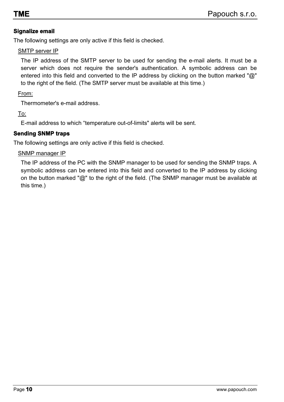# **Signalize email**

The following settings are only active if this field is checked.

# SMTP server IP

The IP address of the SMTP server to be used for sending the e-mail alerts. It must be a server which does not require the sender's authentication. A symbolic address can be entered into this field and converted to the IP address by clicking on the button marked "@" to the right of the field. (The SMTP server must be available at this time.)

# From:

Thermometer's e-mail address.

# To:

E-mail address to which "temperature out-of-limits" alerts will be sent.

# **Sending SNMP traps**

The following settings are only active if this field is checked.

# SNMP manager IP

The IP address of the PC with the SNMP manager to be used for sending the SNMP traps. A symbolic address can be entered into this field and converted to the IP address by clicking on the button marked "@" to the right of the field. (The SNMP manager must be available at this time.)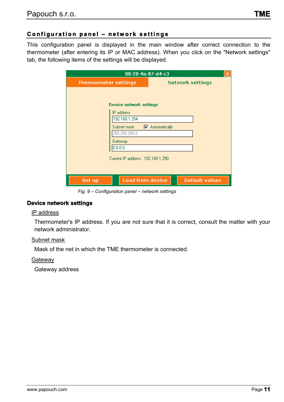# <span id="page-10-0"></span>**Configuration panel - network settings**

This configuration panel is displayed in the main window after correct connection to the thermometer (after entering its IP or MAC address). When you click on the "Network settings" tab, the following items of the settings will be displayed.

|                             | $00 - 20 - 4a - 87 - d4 - c3$<br>x                                                                                                                |                        |                         |
|-----------------------------|---------------------------------------------------------------------------------------------------------------------------------------------------|------------------------|-------------------------|
| <b>Thermometer settings</b> |                                                                                                                                                   |                        | <b>Network settings</b> |
|                             | Device network settings<br>IP address<br>192.168.1.254<br>Subnet mask<br>255.255.255.0<br>Gateway<br>0.0.0.0<br>Current IP address: 192.168.1.250 | $\nabla$ Automatically |                         |
| Set up                      | <b>Load from device</b>                                                                                                                           |                        | <b>Default values</b>   |

*Fig. 9 – Configuration panel – network settings*

# <span id="page-10-1"></span>**Device network settings**

#### IP address

Thermometer's IP address. If you are not sure that it is correct, consult the matter with your network administrator.

#### Subnet mask

Mask of the net in which the TME thermometer is connected.

#### **Gateway**

Gateway address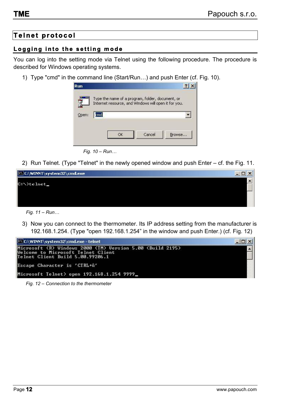# **T e l ne t pr ot o co l**

# **Logging into the setting mode**

You can log into the setting mode via Telnet using the following procedure. The procedure is described for Windows operating systems.

1) Type "cmd" in the command line (Start/Run…) and push Enter (cf. Fig. 10).

| Run   |                                                                                                          |        |
|-------|----------------------------------------------------------------------------------------------------------|--------|
|       | Type the name of a program, folder, document, or<br>Internet resource, and Windows will open it for you. |        |
| Open: | md                                                                                                       |        |
|       | Cancel<br>OК                                                                                             | Browse |

*Fig. 10 – Run…*

<span id="page-11-0"></span>2) Run Telnet. (Type "Telnet" in the newly opened window and push Enter – cf. the Fig. 11.

| <b>EX C:\WINNT\system32\cmd.exe /</b> |  |
|---------------------------------------|--|
| $\mathbb{C}$ : $\setminus$ telnet_    |  |
|                                       |  |
|                                       |  |
|                                       |  |

*Fig. 11 – Run…*

3) Now you can connect to the thermometer. Its IP address setting from the manufacturer is 192.168.1.254. (Type "open 192.168.1.254" in the window and push Enter.) (cf. Fig. 12)

| C:\WINNT\system32\cmd.exe - telnet                                                                                                  |  |
|-------------------------------------------------------------------------------------------------------------------------------------|--|
| Microsoft (R) Windows 2000 (TM) Uersion 5.00 (Build 2195)<br>Welcome to Microsoft Telnet Client<br>Telnet Client Build 5.00.99206.1 |  |
| Escape Character is 'CIRL+ů'                                                                                                        |  |
| Microsoft Telnet> open $192.168.1.254$ 9999                                                                                         |  |

*Fig. 12 – Connection to the thermometer*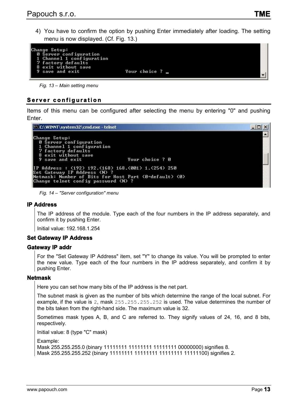4) You have to confirm the option by pushing Enter immediately after loading. The setting menu is now displayed. (Cf. Fig. 13.)



*Fig. 13 – Main setting menu*

# <span id="page-12-0"></span>**Server configuration**

Items of this menu can be configured after selecting the menu by entering "0" and pushing Enter.

| C:\WINNT\system32\cmd.exe - telnet                                                                                                          |                                                       |  |
|---------------------------------------------------------------------------------------------------------------------------------------------|-------------------------------------------------------|--|
| Change Setup:<br><b>0</b> Server configuration<br>1 Channel 1 configuration<br>7 factory defaults<br>8 exit without save<br>9 save and exit | Your choice ? 0                                       |  |
| IP Address : (192) 192.(168) 168.(001) 1.(254) 250<br> Set Gateway IP Address (N) ?<br>Change telnet config password (N) ?                  | Netmask: Number of Bits for Host Part (0=default) (0) |  |

*Fig. 14 – "Server configuration" menu*

#### **IP Address**

The IP address of the module. Type each of the four numbers in the IP address separately, and confirm it by pushing Enter.

Initial value: 192.168.1.254

#### **Set Gateway IP Address**

#### **Gateway IP addr**

For the "Set Gateway IP Address" item, set "Y" to change its value. You will be prompted to enter the new value. Type each of the four numbers in the IP address separately, and confirm it by pushing Enter.

#### **Netmask**

Here you can set how many bits of the IP address is the net part.

The subnet mask is given as the number of bits which determine the range of the local subnet. For example, if the value is 2, mask 255.255.255.252 is used. The value determines the number of the bits taken from the right-hand side. The maximum value is 32.

Sometimes mask types A, B, and C are referred to. They signify values of 24, 16, and 8 bits, respectively.

Initial value: 8 (type "C" mask)

```
Example:
Mask 255.255.255.0 (binary 11111111 11111111 11111111 00000000) signifies 8.
Mask 255.255.255.252 (binary 11111111 11111111 11111111 11111100) signifies 2.
```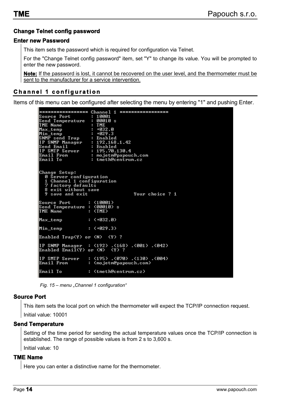# **Change Telnet config password**

# **Enter new Password**

This item sets the password which is required for configuration via Telnet.

For the "Change Telnet config password" item, set "Y" to change its value. You will be prompted to enter the new password.

**Note:** If the password is lost, it cannot be recovered on the user level, and the thermometer must be sent to the manufacturer for a service intervention.

# **Channel 1 configuration**

Items of this menu can be configured after selecting the menu by entering "1" and pushing Enter.

| Source Port<br>Send Temperature : 00010 s<br><b>TME Name</b>                                                                                | ****************** Channel 1 *****************<br>: 10001<br>$:$ TME<br><b>SAMP Manager : 192.168.1.42<br/> Send Email : Enabled<br/> IP SMTP Server : 195.70.130.4<br/> Email From : mojetm@papouch.com<br/> Email To : tmeth@centrum.cz</b> |
|---------------------------------------------------------------------------------------------------------------------------------------------|-----------------------------------------------------------------------------------------------------------------------------------------------------------------------------------------------------------------------------------------------|
| Change Setup:<br><b>0</b> Server configuration<br>1 Channel 1 configuration<br>7 factory defaults<br>8 exit without save<br>9 save and exit | Your choice ? 1                                                                                                                                                                                                                               |
| Source Port<br>Send Temperature : (00010) s<br>TME Name             : (TME)                                                                 | $\overline{\phantom{a}}$ : (10001)                                                                                                                                                                                                            |
| Max_temp                                                                                                                                    | :〈+032.0〉                                                                                                                                                                                                                                     |
| Min_temp : (+029.3)                                                                                                                         |                                                                                                                                                                                                                                               |
| Enabled Trap(Y) or (N) (Y) ?                                                                                                                |                                                                                                                                                                                                                                               |
| Enabled Email(Y) or (N) (Y) ?                                                                                                               | (042). (081). (168). IP SNMP Manager : (192)                                                                                                                                                                                                  |
|                                                                                                                                             | (130). (130). (1970). (1978). IP SMTP Server<br>Email From : (mojetm@papouch.com)                                                                                                                                                             |
| Email To                                                                                                                                    | : (tmeth@centrum.cz)                                                                                                                                                                                                                          |

*Fig. 15 – menu "Channel 1 configuration"*

# **Source Port**

This item sets the local port on which the thermometer will expect the TCP/IP connection request. Initial value: 10001

**Send Temperature**

Setting of the time period for sending the actual temperature values once the TCP/IP connection is established. The range of possible values is from 2 s to 3,600 s.

Initial value: 10

## **TME Name**

Here you can enter a distinctive name for the thermometer.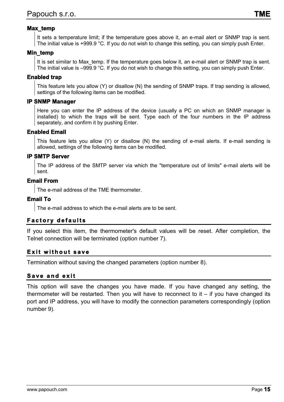# **Max\_temp**

It sets a temperature limit; if the temperature goes above it, an e-mail alert or SNMP trap is sent. The initial value is +999.9 °C. If you do not wish to change this setting, you can simply push Enter.

# **Min\_temp**

It is set similar to Max temp. If the temperature goes below it, an e-mail alert or SNMP trap is sent. The initial value is –999.9 °C. If you do not wish to change this setting, you can simply push Enter.

# **Enabled trap**

This feature lets you allow (Y) or disallow (N) the sending of SNMP traps. If trap sending is allowed, settings of the following items can be modified.

## **IP SNMP Manager**

Here you can enter the IP address of the device (usually a PC on which an SNMP manager is installed) to which the traps will be sent. Type each of the four numbers in the IP address separately, and confirm it by pushing Enter.

### **Enabled Email**

This feature lets you allow (Y) or disallow (N) the sending of e-mail alerts. If e-mail sending is allowed, settings of the following items can be modified.

### **IP SMTP Server**

The IP address of the SMTP server via which the "temperature out of limits" e-mail alerts will be sent.

# **Email From**

The e-mail address of the TME thermometer.

### <span id="page-14-0"></span>**Email To**

The e-mail address to which the e-mail alerts are to be sent.

# **Factory defaults**

<span id="page-14-1"></span>If you select this item, the thermometer's default values will be reset. After completion, the Telnet connection will be terminated (option number 7).

# **Exit without save**

<span id="page-14-2"></span>Termination without saving the changed parameters (option number 8).

# **Save and exit**

This option will save the changes you have made. If you have changed any setting, the thermometer will be restarted. Then you will have to reconnect to it  $-$  if you have changed its port and IP address, you will have to modify the connection parameters correspondingly (option number 9).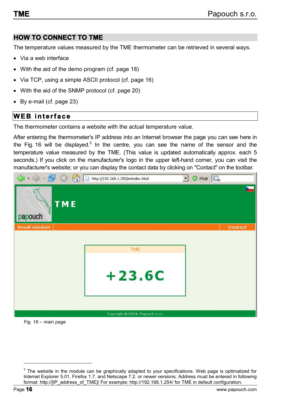# <span id="page-15-0"></span>**HOW TO CONNECT TO TME**

The temperature values measured by the TME thermometer can be retrieved in several ways.

- Via a web interface
- With the aid of the demo program (cf. page 18)
- Via TCP, using a simple ASCII protocol (cf. page 16)
- <span id="page-15-1"></span>With the aid of the SNMP protocol (cf. page 20)
- By e-mail (cf. page 23)

# **W E B i n ter f ac e**

The thermometer contains a website with the actual temperature value.

After entering the thermometer's IP address into an Internet browser the page you can see here in the Fig. 16 will be displayed.<sup>3</sup> In the centre, you can see the name of the sensor and the temperature value measured by the TME. (This value is updated automatically approx. each 5 seconds.) If you click on the manufacturer's logo in the upper left-hand corner, you can visit the manufacturer's website; or you can display the contact data by clicking on "Contact" on the toolbar.



*Fig. 16 – main page*

 $\overline{a}$ 

 $3$  The website in the module can be graphically adapted to your specifications. Web page is optimalized for Internet Explorer 5.01, Firefox 1.7. and Netscape 7.2. or newer versions. Address must be entered in following format: http://[IP\_address\_of\_TME]/ For example: http://192.168.1.254/ for TME in default configuration.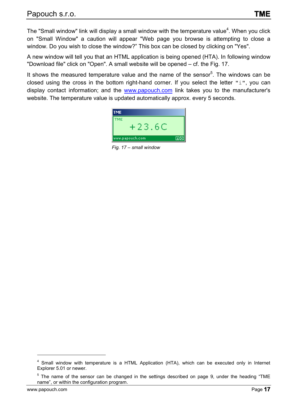The "Small window" link will display a small window with the temperature value<sup>4</sup>. When you click on "Small Window" a caution will appear "Web page you browse is attempting to close a window. Do you wish to close the window?" This box can be closed by clicking on "Yes".

A new window will tell you that an HTML application is being opened (HTA). In following window "Download file" click on "Open". A small website will be opened – cf. the Fig. 17.

It shows the measured temperature value and the name of the sensor<sup>5</sup>. The windows can be closed using the cross in the bottom right-hand corner. If you select the letter " $\pm$ ", you can display contact information; and the [www.papouch.com](http://www.papouch.com/) link takes you to the manufacturer's website. The temperature value is updated automatically approx. every 5 seconds.



*Fig. 17 – small [window](http://www.papouch.com/en/)*

<span id="page-16-0"></span> $\overline{a}$ 

 $4$  Small window with temperature is a HTML Application (HTA), which can be executed only in Internet Explorer 5.01 or newer.

 $5$  The name of the sensor can be changed in the settings described on page 9, under the heading "TME name", or within the configuration program.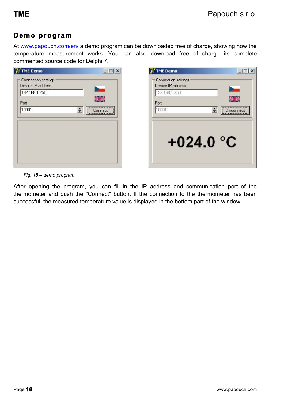# **D e m o pr o gr am**

At [www.papouch.com/en/](http://www.papouch.com/en/) a demo program can be downloaded free of charge, showing how the temperature measurement works. You can also download free of charge its complete commented source code for Delphi 7.



| <b>ME</b> Demo                           | $ \Box$   x     |
|------------------------------------------|-----------------|
| Connection settings<br>Device IP address |                 |
| 192.168.1.250                            |                 |
| Port                                     |                 |
| 10001                                    | 회<br>Disconnect |
| $+024.0$                                 | r.              |
|                                          |                 |

*Fig. 18 – demo program*

After opening the program, you can fill in the IP address and communication port of the thermometer and push the "Connect" button. If the connection to the thermometer has been successful, the measured temperature value is displayed in the bottom part of the window.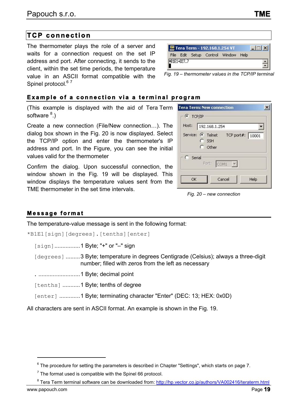<span id="page-18-0"></span>The thermometer plays the role of a server and waits for a connection request on the set IP address and port. After connecting, it sends to the client, within the set time periods, the temperature value in an ASCII format compatible with the Spinel protocol.<sup>67</sup>

| Tera Term - 192.168.1.254 VT |  |  |                                     |  |  |  |  |
|------------------------------|--|--|-------------------------------------|--|--|--|--|
|                              |  |  | File Edit Setup Control Window Help |  |  |  |  |
| 481E1+027.7                  |  |  |                                     |  |  |  |  |

*Fig. 19 – thermometer values in the TCP/IP terminal*

# <span id="page-18-1"></span>**Example of a connection via a terminal program**

(This example is displayed with the aid of Tera Term software <sup>8</sup>.)

Create a new connection (File/New connection…). The dialog box shown in the Fig. 20 is now displayed. Select the TCP/IP option and enter the thermometer's IP address and port. In the Figure, you can see the initial values valid for the thermometer

<span id="page-18-4"></span>Confirm the dialog. Upon successful connection, the window shown in the Fig. 19 will be displayed. This window displays the temperature values sent from the TME thermometer in the set time intervals.

|            | <b>Tera Term: New connection</b>                           |  |
|------------|------------------------------------------------------------|--|
| $C$ TCP/IP |                                                            |  |
| Host:      | 192.168.1.254                                              |  |
|            | Service: G Telnet TCP port#:   10001<br>$C$ SSH<br>C Other |  |
| C Serial   | Port: COM1                                                 |  |
| OK         | Cancel<br>Help                                             |  |



# <span id="page-18-2"></span>**Message format**

The temperature-value message is sent in the following format:

\*B1E1[sign][degrees].[tenths][enter]

[sign]................1 Byte; "+" or "–" sign

[degrees] .........3 Byte; temperature in degrees Centigrade (Celsius); always a three-digit number; filled with zeros from the left as necessary

. ..........................1 Byte; decimal point

[tenths] ........... 1 Byte; tenths of degree

[enter] .............1 Byte; terminating character "Enter" (DEC: 13; HEX: 0x0D)

All characters are sent in ASCII format. An example is shown in the Fig. 19.

<sup>8</sup> Tera Term terminal software can be downloaded from: http://hp.vector.co.jp/authors/VA002416/teraterm.html

<span id="page-18-3"></span>

 $^6$  The procedure for setting the parameters is described in Chapter "Settings", which starts on page 7.

 $7$  The format used is compatible with the Spinel 66 protocol.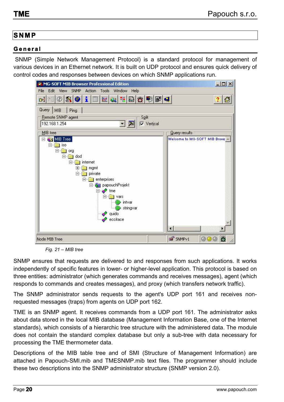# **S NM P**

# **G e n e r a l**

SNMP (Simple Network Management Protocol) is a standard protocol for management of various devices in an Ethernet network. It is built on UDP protocol and ensures quick delivery of control codes and responses between devices on which SNMP applications run.



*Fig. 21 – MIB tree*

SNMP ensures that requests are delivered to and responses from such applications. It works independently of specific features in lower- or higher-level application. This protocol is based on three entities: administrator (which generates commands and receives messages), agent (which responds to commands and creates messages), and proxy (which transfers network traffic).

The SNMP administrator sends requests to the agent's UDP port 161 and receives nonrequested messages (traps) from agents on UDP port 162.

TME is an SNMP agent. It receives commands from a UDP port 161. The administrator asks about data stored in the local MIB database (Management Information Base, one of the Internet standards), which consists of a hierarchic tree structure with the administered data. The module does not contain the standard complex database but only a sub-tree with data necessary for processing the TME thermometer data.

Descriptions of the MIB table tree and of SMI (Structure of Management Information) are attached in Papouch-SMI.mib and TMESNMP.mib text files. The programmer should include these two descriptions into the SNMP administrator structure (SNMP version 2.0).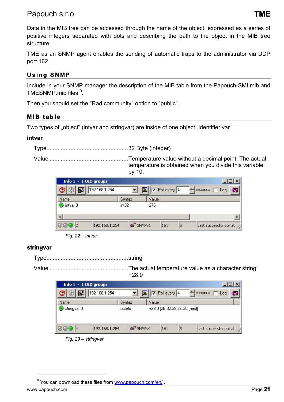Data in the MIB tree can be accessed through the name of the object, expressed as a series of positive integers separated with dots and describing the path to the object in the MIB tree structure.

<span id="page-20-0"></span>TME as an SNMP agent enables the sending of automatic traps to the administrator via UDP port 162.

# Using SNMP

Include in your SNMP manager the description of the MIB table from the Papouch-SMI.mib and TMESNMP.mib files <sup>9</sup>.

<span id="page-20-1"></span>Then you should set the "Rad community" option to "public".

# **MIB table**

Two types of "object" (intvar and stringvar) are inside of one object "identifier var".

#### **intvar**

Type...................................................32 Byte (integer)

Value .................................................Temperature value without a decimal point. The actual temperature is obtained when you divide this variable by 10.

|          | Info $1 - 1$ OID groups |        |       |                       |   |                         | - 18                    |    |
|----------|-------------------------|--------|-------|-----------------------|---|-------------------------|-------------------------|----|
| 郾        | 192.168.1.254           |        | 巫     | $\nabla$ Poll every 4 |   | seconds<br>$\mathbf{r}$ | Log                     |    |
| Name     |                         | Syntax | Value |                       |   |                         |                         |    |
| intvar.0 |                         | int32  | 276   |                       |   |                         |                         |    |
|          |                         |        |       |                       |   |                         |                         |    |
|          | 192.168.1.254           | SNMPv1 |       | 161                   | 5 |                         | Last successful poll at | ), |



# **stringvar**

Type...................................................string

Value .................................................The actual temperature value as a character string: +28.0

| Info $1 - 1$ OID groups           |               |                              |    |         | - 19                    |  |
|-----------------------------------|---------------|------------------------------|----|---------|-------------------------|--|
| 國<br>192.168.1.254                |               | $\nabla$ Poll every 4        |    | seconds | Log                     |  |
| Name                              | <b>Syntax</b> | Value                        |    |         |                         |  |
| stringvar.0                       | octets        | +28.0 [2B.32.38.2E.30 [hex]] |    |         |                         |  |
|                                   |               |                              |    |         |                         |  |
| 192.168.1.254<br><b>000</b><br> 4 | SNMPv1        | 161                          | 13 |         | Last successful poll at |  |

*Fig. 23 – stringvar*

<span id="page-20-2"></span><sup>&</sup>lt;sup>9</sup> You can download these files from www.papouch.com/en/.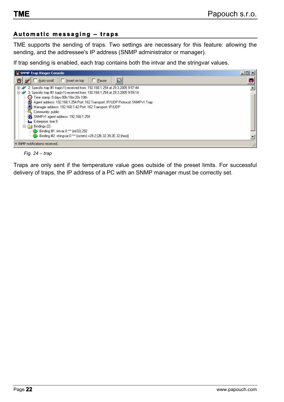# Automatic messaging - traps

TME supports the sending of traps. Two settings are necessary for this feature: allowing the sending, and the addressee's IP address (SNMP administrator or manager).

If trap sending is enabled, each trap contains both the intvar and the stringvar values.



*Fig. 24 – trap*

Traps are only sent if the temperature value goes outside of the preset limits. For successful delivery of traps, the IP address of a PC with an SNMP manager must be correctly set.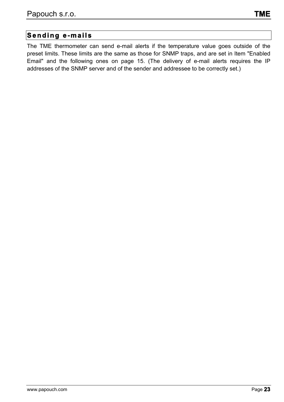<span id="page-22-0"></span>The TME thermometer can send e-mail alerts if the temperature value goes outside of the preset limits. These limits are the same as those for SNMP traps, and are set in Item "Enabled Email" and the following ones on page 15. (The delivery of e-mail alerts requires the IP addresses of the SNMP server and of the sender and addressee to be correctly set.)